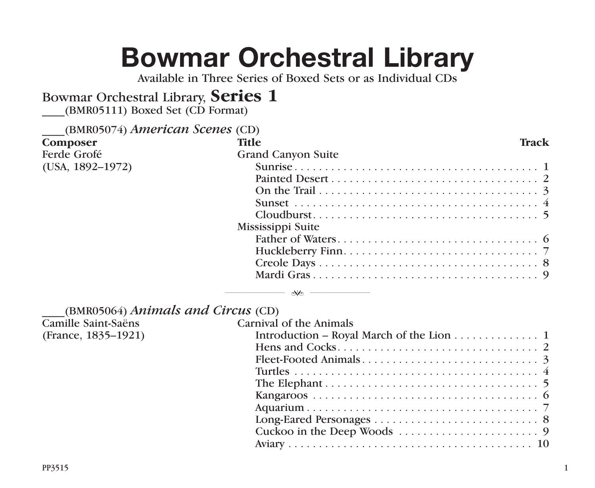## **Bowmar Orchestral Library**

Available in Three Series of Boxed Sets or as Individual CDs

## Bowmar Orchestral Library, **Series 1**

\_\_\_\_(BMR05111) Boxed Set (CD Format)

| (BMR05074) American Scenes (CD) |                           |       |
|---------------------------------|---------------------------|-------|
| Composer                        | <b>Title</b>              | Track |
| Ferde Grofé                     | <b>Grand Canyon Suite</b> |       |
| $(USA, 1892-1972)$              |                           |       |
|                                 |                           |       |
|                                 |                           |       |
|                                 |                           |       |
|                                 |                           |       |
|                                 | Mississippi Suite         |       |
|                                 |                           |       |
|                                 |                           |       |
|                                 |                           |       |
|                                 |                           |       |
|                                 |                           |       |

| (BMR05064) Animals and Circus (CD) |          |
|------------------------------------|----------|
| Camille Saint-Saëns                | Carnival |

| Carnival of the Animals                  |
|------------------------------------------|
| Introduction – Royal March of the Lion 1 |
|                                          |
|                                          |
|                                          |
|                                          |
|                                          |
|                                          |
|                                          |
|                                          |
|                                          |

(France, 1835–1921)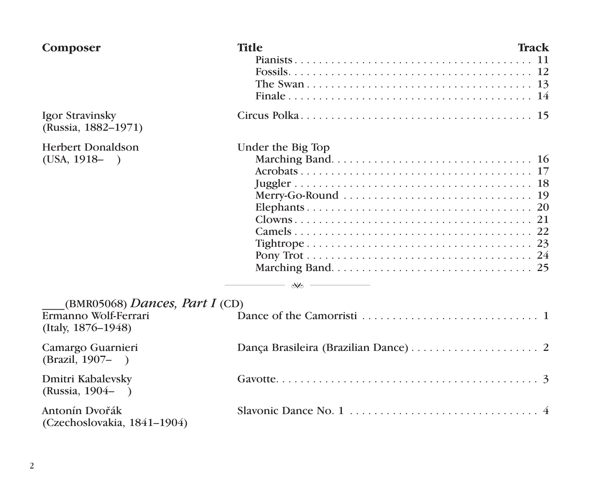| Composer                                                                     | <b>Title</b>                                                               | Track |
|------------------------------------------------------------------------------|----------------------------------------------------------------------------|-------|
|                                                                              |                                                                            |       |
| Igor Stravinsky<br>(Russia, 1882–1971)                                       |                                                                            |       |
| <b>Herbert Donaldson</b><br>$(USA, 1918 - )$                                 | Under the Big Top<br>$\longrightarrow$ $\longrightarrow$ $\longrightarrow$ |       |
| (BMR05068) Dances, Part I (CD)<br>Ermanno Wolf-Ferrari<br>(Italy, 1876–1948) |                                                                            |       |
| Camargo Guarnieri<br>(Brazil, 1907–<br>$\rightarrow$                         |                                                                            |       |
| Dmitri Kabalevsky<br>(Russia, 1904–)                                         |                                                                            |       |
| Antonín Dvořák<br>(Czechoslovakia, 1841–1904)                                |                                                                            |       |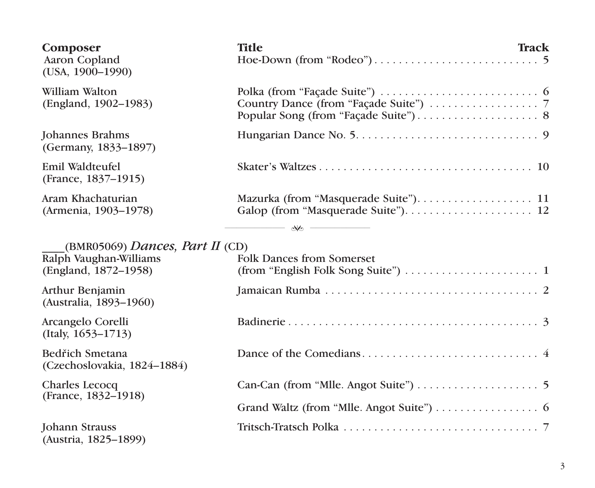| Composer<br>Aaron Copland<br>(USA, 1900-1990)                                     | <b>Title</b><br>Track                                                                                                  |  |
|-----------------------------------------------------------------------------------|------------------------------------------------------------------------------------------------------------------------|--|
| William Walton<br>(England, 1902–1983)                                            |                                                                                                                        |  |
| Johannes Brahms<br>(Germany, 1833-1897)                                           |                                                                                                                        |  |
| Emil Waldteufel<br>(France, 1837–1915)                                            |                                                                                                                        |  |
| Aram Khachaturian<br>(Armenia, 1903-1978)                                         |                                                                                                                        |  |
|                                                                                   | $\longrightarrow$ and $\longrightarrow$                                                                                |  |
| (BMR05069) Dances, Part II (CD)<br>Ralph Vaughan-Williams<br>(England, 1872–1958) | <b>Folk Dances from Somerset</b><br>$(from "English Folk Song Suite") \dots \dots \dots \dots \dots \dots \dots \dots$ |  |
| Arthur Benjamin<br>(Australia, 1893-1960)                                         |                                                                                                                        |  |
| Arcangelo Corelli<br>$(Italy, 1653-1713)$                                         |                                                                                                                        |  |
| Bedřich Smetana<br>(Czechoslovakia, 1824-1884)                                    |                                                                                                                        |  |
| Charles Lecocq                                                                    |                                                                                                                        |  |
| (France, 1832–1918)                                                               | Grand Waltz (from "Mlle. Angot Suite") $\dots \dots \dots \dots$                                                       |  |
| Johann Strauss<br>(Austria, 1825-1899)                                            |                                                                                                                        |  |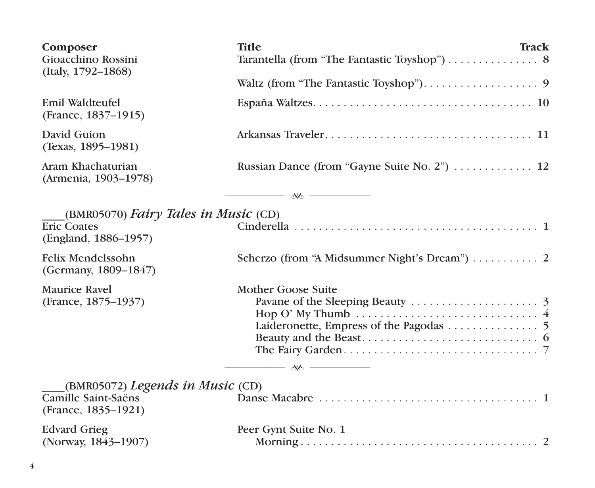| Composer<br>Gioacchino Rossini<br>(Italy, 1792-1868)                                   | <b>Title</b><br>Track                                                                                                        |
|----------------------------------------------------------------------------------------|------------------------------------------------------------------------------------------------------------------------------|
|                                                                                        |                                                                                                                              |
| Emil Waldteufel<br>(France, 1837-1915)                                                 |                                                                                                                              |
| David Guion<br>(Texas, 1895–1981)                                                      |                                                                                                                              |
| Aram Khachaturian<br>(Armenia, 1903-1978)                                              | Russian Dance (from "Gayne Suite No. 2")  12                                                                                 |
|                                                                                        |                                                                                                                              |
| $(BMR05070)$ Fairy Tales in Music $(CD)$<br><b>Eric Coates</b><br>(England, 1886–1957) |                                                                                                                              |
| Felix Mendelssohn<br>(Germany, 1809-1847)                                              |                                                                                                                              |
| Maurice Ravel<br>(France, 1875-1937)                                                   | Mother Goose Suite<br>Hop O' My Thumb $\dots\dots\dots\dots\dots\dots\dots\dots\dots\dots\dots\dots$<br>$\sim$ $\sim$ $\sim$ |
| (BMR05072) Legends in Music (CD)<br>Camille Saint-Saëns<br>(France, 1835-1921)         |                                                                                                                              |
| <b>Edvard Grieg</b><br>(Norway, 1843-1907)                                             | Peer Gynt Suite No. 1                                                                                                        |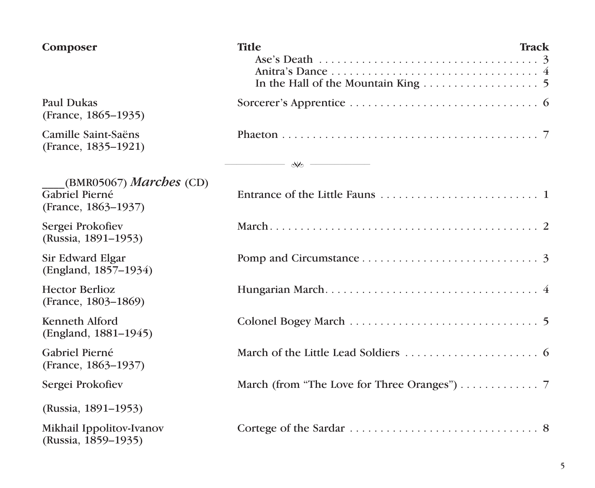| Composer                                                                | <b>Title</b> | Track |
|-------------------------------------------------------------------------|--------------|-------|
| Paul Dukas<br>(France, 1865–1935)                                       |              |       |
| Camille Saint-Saëns<br>(France, 1835–1921)                              |              |       |
|                                                                         |              |       |
| (BMR05067) <i>Marches</i> (CD)<br>Gabriel Pierné<br>(France, 1863–1937) |              |       |
| Sergei Prokofiev<br>(Russia, 1891-1953)                                 |              |       |
| Sir Edward Elgar<br>(England, 1857-1934)                                |              |       |
| <b>Hector Berlioz</b><br>(France, 1803–1869)                            |              |       |
| Kenneth Alford<br>(England, 1881–1945)                                  |              |       |
| Gabriel Pierné<br>(France, 1863–1937)                                   |              |       |
| Sergei Prokofiev                                                        |              |       |
| (Russia, 1891–1953)                                                     |              |       |
| Mikhail Ippolitov-Ivanov<br>(Russia, 1859–1935)                         |              |       |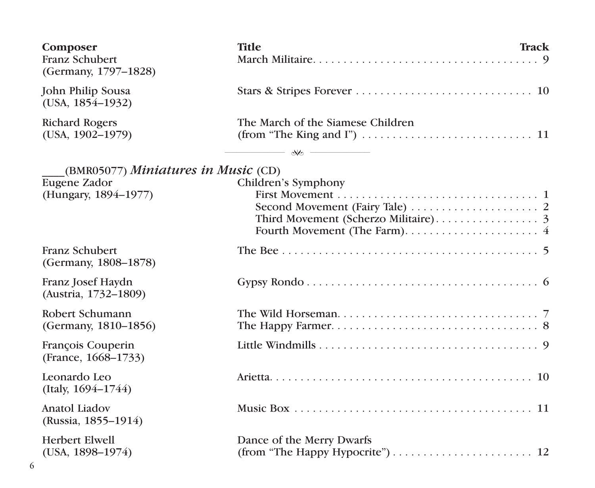| Composer<br>Franz Schubert<br>(Germany, 1797–1828)                          | <b>Title</b><br>Track                          |
|-----------------------------------------------------------------------------|------------------------------------------------|
| John Philip Sousa<br>$(USA, 1854-1932)$                                     |                                                |
| <b>Richard Rogers</b><br>(USA, 1902–1979)                                   | The March of the Siamese Children<br>$ \infty$ |
| (BMR05077) Miniatures in Music (CD)<br>Eugene Zador<br>(Hungary, 1894-1977) | Children's Symphony                            |
| Franz Schubert<br>(Germany, 1808–1878)                                      |                                                |
| Franz Josef Haydn<br>(Austria, 1732-1809)                                   |                                                |
| Robert Schumann<br>(Germany, 1810–1856)                                     |                                                |
| François Couperin<br>(France, 1668–1733)                                    |                                                |
| Leonardo Leo<br>(Italy, $1694 - 1744$ )                                     |                                                |
| Anatol Liadov<br>(Russia, 1855–1914)                                        |                                                |
| Herbert Elwell<br>$(USA, 1898-1974)$                                        | Dance of the Merry Dwarfs                      |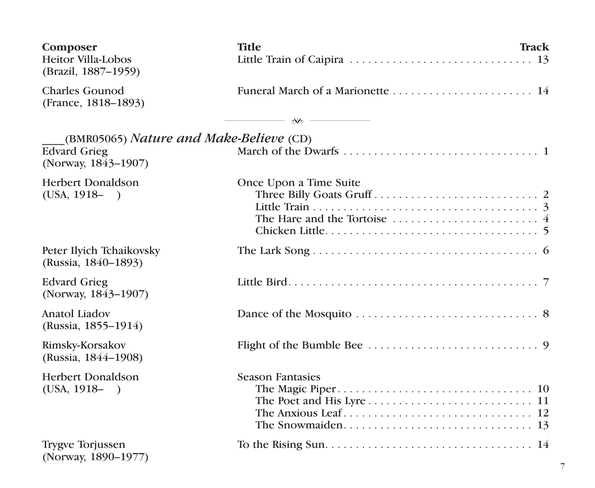| Composer<br><b>Heitor Villa-Lobos</b><br>(Brazil, 1887-1959)                          | <b>Title</b><br>Little Train of Caipira $\ldots \ldots \ldots \ldots \ldots \ldots \ldots \ldots \ldots \ldots$ 13                                                                                                                                                                                                  | Track |
|---------------------------------------------------------------------------------------|---------------------------------------------------------------------------------------------------------------------------------------------------------------------------------------------------------------------------------------------------------------------------------------------------------------------|-------|
| <b>Charles Gounod</b><br>(France, 1818–1893)                                          |                                                                                                                                                                                                                                                                                                                     |       |
|                                                                                       | $\frac{1}{2}$ $\frac{1}{2}$ $\frac{1}{2}$ $\frac{1}{2}$ $\frac{1}{2}$ $\frac{1}{2}$ $\frac{1}{2}$ $\frac{1}{2}$ $\frac{1}{2}$ $\frac{1}{2}$ $\frac{1}{2}$ $\frac{1}{2}$ $\frac{1}{2}$ $\frac{1}{2}$ $\frac{1}{2}$ $\frac{1}{2}$ $\frac{1}{2}$ $\frac{1}{2}$ $\frac{1}{2}$ $\frac{1}{2}$ $\frac{1}{2}$ $\frac{1}{2}$ |       |
| (BMR05065) Nature and Make-Believe (CD)<br><b>Edvard Grieg</b><br>(Norway, 1843-1907) |                                                                                                                                                                                                                                                                                                                     |       |
| Herbert Donaldson<br>$(USA, 1918 - )$                                                 | Once Upon a Time Suite<br>The Hare and the Tortoise $\dots\dots\dots\dots\dots\dots\dots\dots$                                                                                                                                                                                                                      |       |
| Peter Ilyich Tchaikovsky<br>(Russia, 1840–1893)                                       |                                                                                                                                                                                                                                                                                                                     |       |
| <b>Edvard Grieg</b><br>(Norway, 1843-1907)                                            |                                                                                                                                                                                                                                                                                                                     |       |
| Anatol Liadov<br>(Russia, 1855–1914)                                                  |                                                                                                                                                                                                                                                                                                                     |       |
| Rimsky-Korsakov<br>(Russia, 1844–1908)                                                |                                                                                                                                                                                                                                                                                                                     |       |
| <b>Herbert Donaldson</b><br>$(USA, 1918 - )$                                          | <b>Season Fantasies</b>                                                                                                                                                                                                                                                                                             |       |
| Trygve Torjussen<br>(Norway, 1890-1977)                                               |                                                                                                                                                                                                                                                                                                                     |       |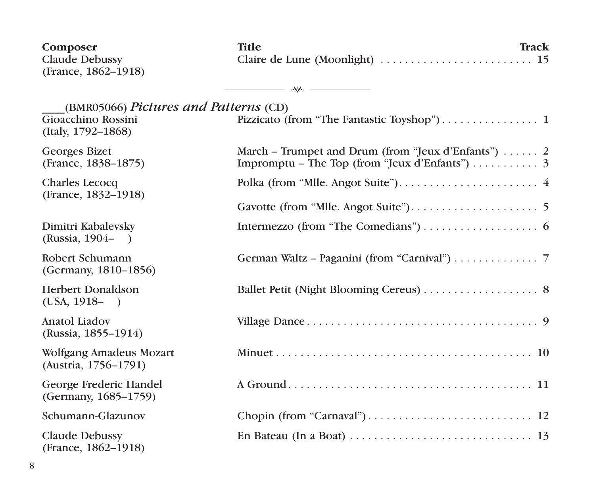| Composer<br>Claude Debussy<br>(France, 1862–1918)                                 | <b>Title</b><br>Track                                                     |
|-----------------------------------------------------------------------------------|---------------------------------------------------------------------------|
|                                                                                   | $\longrightarrow$ $\longrightarrow$ $\longrightarrow$                     |
| (BMR05066) Pictures and Patterns (CD)<br>Gioacchino Rossini<br>(Italy, 1792–1868) |                                                                           |
| Georges Bizet<br>(France, 1838–1875)                                              | March – Trumpet and Drum (from "Jeux d'Enfants") $\dots$ 2                |
| Charles Lecocq<br>(France, 1832–1918)                                             |                                                                           |
|                                                                                   |                                                                           |
| Dimitri Kabalevsky<br>(Russia, 1904–)                                             |                                                                           |
| Robert Schumann<br>(Germany, 1810-1856)                                           | German Waltz – Paganini (from "Carnival") $\ldots \ldots \ldots \ldots$ 7 |
| <b>Herbert Donaldson</b><br>$(USA, 1918 - )$                                      |                                                                           |
| Anatol Liadov<br>(Russia, 1855–1914)                                              |                                                                           |
| Wolfgang Amadeus Mozart<br>(Austria, 1756–1791)                                   |                                                                           |
| George Frederic Handel<br>(Germany, 1685-1759)                                    |                                                                           |
| Schumann-Glazunov                                                                 |                                                                           |
| Claude Debussy<br>(France, 1862-1918)                                             |                                                                           |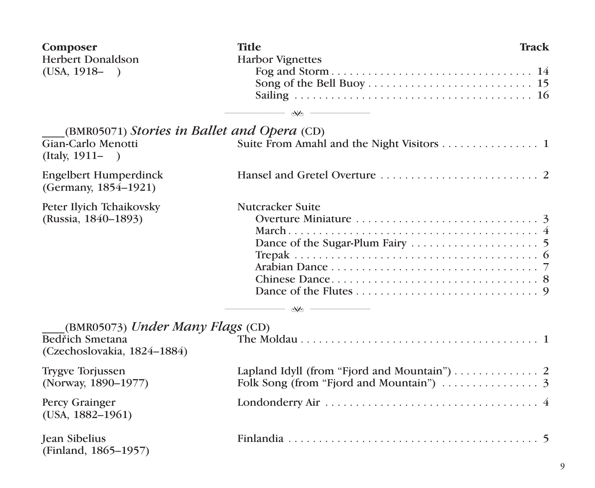| Composer<br><b>Herbert Donaldson</b>                 | <b>Title</b><br><b>Harbor Vignettes</b>                                   | Track |
|------------------------------------------------------|---------------------------------------------------------------------------|-------|
| $(USA, 1918 - )$                                     | $\longrightarrow$ $\longrightarrow$ $\longrightarrow$                     |       |
| (BMR05071) Stories in Ballet and Opera (CD)          |                                                                           |       |
| Gian-Carlo Menotti<br>$(Italv, 1911 - )$             |                                                                           |       |
| <b>Engelbert Humperdinck</b><br>(Germany, 1854–1921) |                                                                           |       |
| Peter Ilyich Tchaikovsky                             | Nutcracker Suite                                                          |       |
| (Russia, 1840–1893)                                  |                                                                           |       |
|                                                      |                                                                           |       |
|                                                      |                                                                           |       |
|                                                      |                                                                           |       |
|                                                      |                                                                           |       |
|                                                      |                                                                           |       |
|                                                      | $\longrightarrow$ $\infty$                                                |       |
| $(BMR05073)$ Under Many Flags (CD)                   |                                                                           |       |
| Bedřich Smetana<br>(Czechoslovakia, 1824–1884)       |                                                                           |       |
| <b>Trygve Torjussen</b>                              | Lapland Idyll (from "Fjord and Mountain") $\ldots \ldots \ldots \ldots$ 2 |       |
| (Norway, 1890-1977)                                  | Folk Song (from "Fjord and Mountain") $\ldots \ldots \ldots \ldots$ 3     |       |
| Percy Grainger<br>(USA, 1882–1961)                   |                                                                           |       |
| <b>Jean Sibelius</b><br>(Finland, 1865-1957)         |                                                                           |       |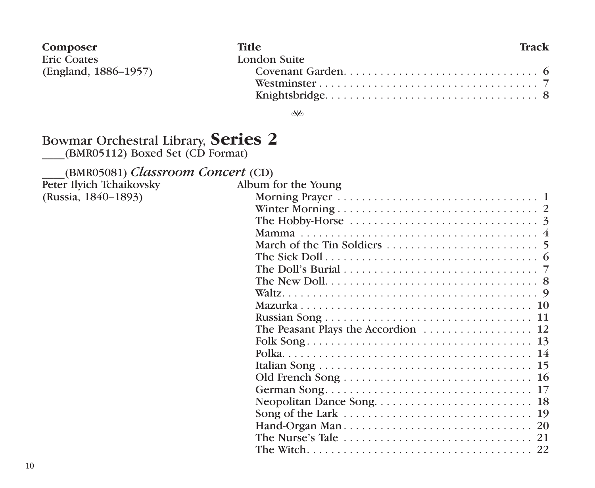| Composer             | Title        | Track |
|----------------------|--------------|-------|
| <b>Eric Coates</b>   | London Suite |       |
| (England, 1886–1957) |              |       |
|                      |              |       |
|                      |              |       |

## ────────── ──────────

## Bowmar Orchestral Library, **Series 2**

\_\_\_\_(BMR05112) Boxed Set (CD Format)

\_\_\_\_(BMR05081) *Classroom Concert* (CD)

Peter Ilyich Tchaikovsky (Russia, 1840-1893)

| The Hobby-Horse $\dots\dots\dots\dots\dots\dots\dots\dots\dots\dots\dots$ |
|---------------------------------------------------------------------------|
|                                                                           |
|                                                                           |
|                                                                           |
|                                                                           |
|                                                                           |
|                                                                           |
|                                                                           |
|                                                                           |
|                                                                           |
|                                                                           |
|                                                                           |
|                                                                           |
|                                                                           |
|                                                                           |
|                                                                           |
| 19                                                                        |
|                                                                           |
|                                                                           |
|                                                                           |
|                                                                           |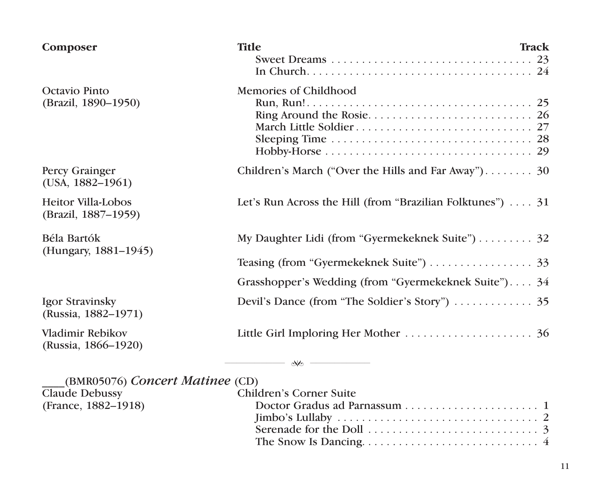| Composer                                         | <b>Title</b>                                                                                                             | Track |
|--------------------------------------------------|--------------------------------------------------------------------------------------------------------------------------|-------|
| Octavio Pinto<br>(Brazil, 1890–1950)             | Memories of Childhood<br>Sleeping Time $\ldots \ldots \ldots \ldots \ldots \ldots \ldots \ldots \ldots \ldots \ldots$ 28 |       |
| Percy Grainger<br>(USA, 1882–1961)               | Children's March ("Over the Hills and Far Away") 30                                                                      |       |
| <b>Heitor Villa-Lobos</b><br>(Brazil, 1887-1959) | Let's Run Across the Hill (from "Brazilian Folktunes")  31                                                               |       |
| Béla Bartók<br>(Hungary, 1881–1945)              | My Daughter Lidi (from "Gyermekeknek Suite") 32                                                                          |       |
|                                                  |                                                                                                                          |       |
|                                                  | Grasshopper's Wedding (from "Gyermekeknek Suite") 34                                                                     |       |
| Igor Stravinsky<br>(Russia, 1882–1971)           |                                                                                                                          |       |
| Vladimir Rebikov<br>(Russia, 1866–1920)          |                                                                                                                          |       |

| (BMR05076) Concert Matinee (CD) |                                                                           |
|---------------------------------|---------------------------------------------------------------------------|
| Claude Debussy                  | Children's Corner Suite                                                   |
| (France, 1882–1918)             |                                                                           |
|                                 |                                                                           |
|                                 | Serenade for the Doll $\ldots, \ldots, \ldots, \ldots, \ldots, \ldots, 3$ |
|                                 |                                                                           |

────────── ──────────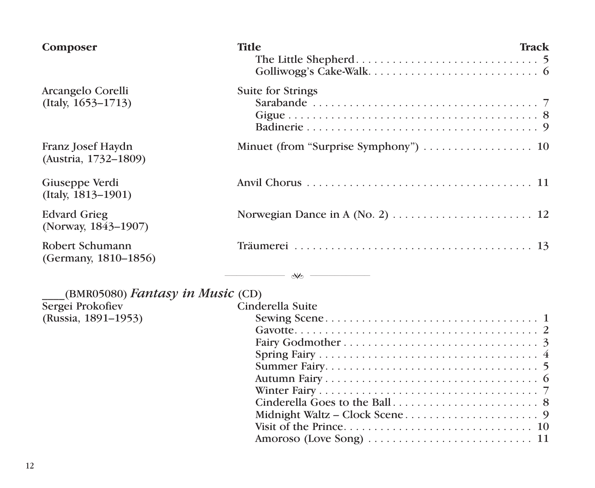| Composer                                   | <b>Title</b>               | Track |
|--------------------------------------------|----------------------------|-------|
| Arcangelo Corelli<br>$(Italy, 1653-1713)$  | Suite for Strings          |       |
| Franz Josef Haydn<br>(Austria, 1732–1809)  |                            |       |
| Giuseppe Verdi<br>(Italy, 1813-1901)       |                            |       |
| <b>Edvard Grieg</b><br>(Norway, 1843-1907) |                            |       |
| Robert Schumann<br>(Germany, 1810–1856)    |                            |       |
|                                            | $\longrightarrow$ $\infty$ |       |
| (BMR05080) Fantasy in Music (CD)           |                            |       |
| Sergei Prokofiev                           | Cinderella Suite           |       |
| (Russia, 1891-1953)                        |                            |       |
|                                            |                            |       |
|                                            |                            |       |
|                                            |                            |       |
|                                            |                            |       |
|                                            |                            |       |
|                                            |                            |       |
|                                            |                            |       |
|                                            |                            |       |
|                                            |                            |       |
|                                            |                            |       |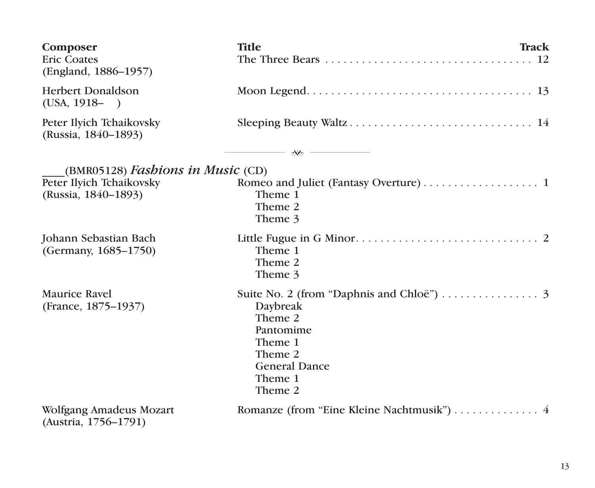| Composer<br><b>Eric Coates</b><br>(England, 1886–1957) | <b>Title</b><br>Track                 |
|--------------------------------------------------------|---------------------------------------|
| <b>Herbert Donaldson</b><br>$(USA, 1918 - )$           |                                       |
| Peter Ilyich Tchaikovsky<br>(Russia, 1840-1893)        |                                       |
|                                                        |                                       |
| (BMR05128) Fashions in Music (CD)                      |                                       |
| Peter Ilvich Tchaikovsky                               | Romeo and Juliet (Fantasy Overture) 1 |
| (Russia, 1840–1893)                                    | Theme 1<br>Theme 2                    |
|                                                        | Theme 3                               |
|                                                        |                                       |
| Johann Sebastian Bach<br>(Germany, 1685–1750)          | Theme 1                               |
|                                                        | Theme 2                               |
|                                                        | Theme 3                               |
| Maurice Ravel                                          |                                       |
| (France, 1875–1937)                                    | Daybreak                              |
|                                                        | Theme 2<br>Pantomime                  |
|                                                        | Theme 1                               |
|                                                        | Theme 2                               |
|                                                        | <b>General Dance</b>                  |
|                                                        | Theme 1<br>Theme 2                    |
|                                                        |                                       |
| Wolfgang Amadeus Mozart<br>(Austria, 1756-1791)        |                                       |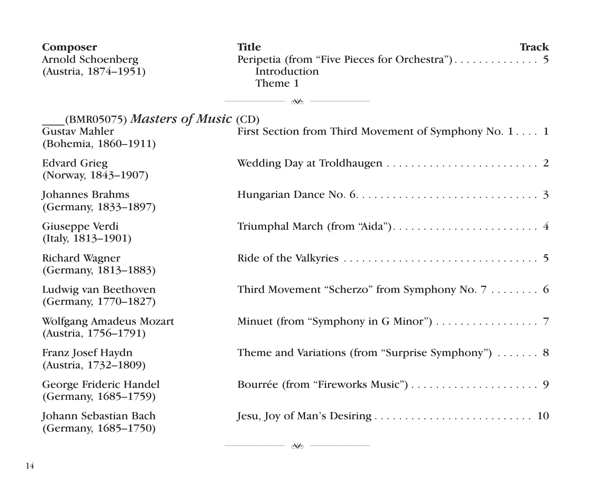| Composer<br>Arnold Schoenberg<br>(Austria, 1874–1951)                            | <b>Title</b><br><b>Track</b><br>Introduction<br>Theme 1           |
|----------------------------------------------------------------------------------|-------------------------------------------------------------------|
|                                                                                  | $\infty$ - $\sim$                                                 |
| (BMR05075) Masters of Music (CD)<br><b>Gustav Mahler</b><br>(Bohemia, 1860–1911) | First Section from Third Movement of Symphony No. 1 1             |
| <b>Edvard Grieg</b><br>(Norway, 1843–1907)                                       |                                                                   |
| Johannes Brahms<br>(Germany, 1833–1897)                                          |                                                                   |
| Giuseppe Verdi<br>(Italy, 1813-1901)                                             |                                                                   |
| Richard Wagner<br>(Germany, 1813-1883)                                           |                                                                   |
| Ludwig van Beethoven<br>(Germany, 1770-1827)                                     | Third Movement "Scherzo" from Symphony No. 7 6                    |
| Wolfgang Amadeus Mozart<br>(Austria, 1756-1791)                                  | Minuet (from "Symphony in G Minor") 7                             |
| Franz Josef Haydn<br>(Austria, 1732-1809)                                        | Theme and Variations (from "Surprise Symphony") $\ldots \ldots$ 8 |
| George Frideric Handel<br>(Germany, 1685–1759)                                   |                                                                   |
| Johann Sebastian Bach<br>(Germany, 1685-1750)                                    |                                                                   |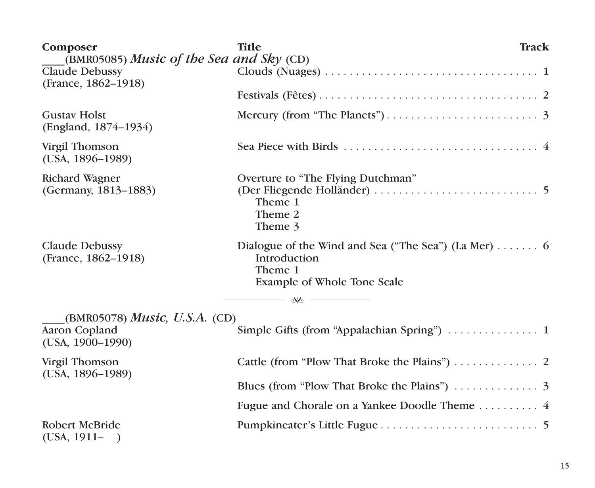| Composer<br>(BMR05085) Music of the Sea and Sky (CD) | <b>Title</b><br>Track                                                                                                                                          |  |
|------------------------------------------------------|----------------------------------------------------------------------------------------------------------------------------------------------------------------|--|
| Claude Debussy<br>(France, 1862–1918)                |                                                                                                                                                                |  |
|                                                      |                                                                                                                                                                |  |
| <b>Gustav Holst</b><br>(England, 1874–1934)          |                                                                                                                                                                |  |
| Virgil Thomson<br>$(USA, 1896-1989)$                 |                                                                                                                                                                |  |
| Richard Wagner<br>(Germany, 1813–1883)               | Overture to "The Flying Dutchman"<br>Theme 1<br>Theme 2<br>Theme 3                                                                                             |  |
| Claude Debussy<br>(France, 1862–1918)                | Dialogue of the Wind and Sea ("The Sea") (La Mer) $\dots \dots$ 6<br>Introduction<br>Theme 1<br>Example of Whole Tone Scale<br>$\longrightarrow$ $\mathcal{R}$ |  |
| (BMR05078) <i>Music</i> , U.S.A. (CD)                |                                                                                                                                                                |  |
| Aaron Copland<br>$(USA, 1900-1990)$                  | Simple Gifts (from "Appalachian Spring")  1                                                                                                                    |  |
| Virgil Thomson<br>$(USA, 1896-1989)$                 |                                                                                                                                                                |  |
|                                                      | Blues (from "Plow That Broke the Plains") $\ldots \ldots \ldots$ 3                                                                                             |  |
|                                                      |                                                                                                                                                                |  |
| Robert McBride<br>$(USA, 1911 - )$                   |                                                                                                                                                                |  |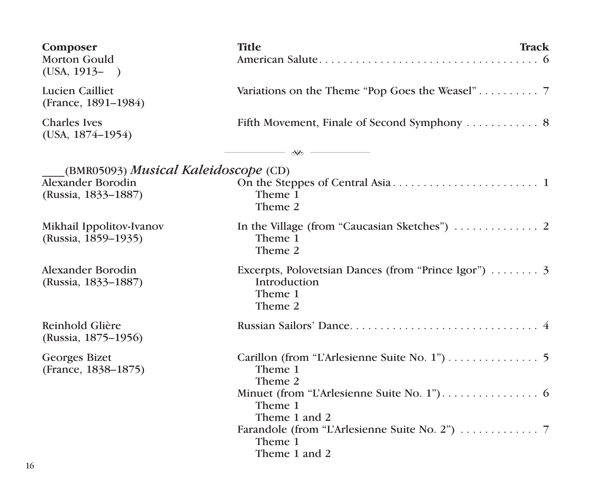| Composer<br>Morton Gould<br>$(USA, 1913 - )$                                     | <b>Title</b><br>Track                                                                                   |  |
|----------------------------------------------------------------------------------|---------------------------------------------------------------------------------------------------------|--|
| Lucien Cailliet<br>(France, 1891-1984)                                           |                                                                                                         |  |
| <b>Charles</b> Ives<br>(USA, 1874–1954)                                          |                                                                                                         |  |
|                                                                                  | $-$ No $ -$                                                                                             |  |
| (BMR05093) Musical Kaleidoscope (CD)<br>Alexander Borodin<br>(Russia, 1833-1887) | Theme 1<br>Theme 2                                                                                      |  |
| Mikhail Ippolitov-Ivanov<br>(Russia, 1859–1935)                                  | In the Village (from "Caucasian Sketches") $\ldots \ldots \ldots$ 2<br>Theme 1<br>Theme 2               |  |
| Alexander Borodin<br>(Russia, 1833–1887)                                         | Excerpts, Polovetsian Dances (from "Prince Igor") $\dots \dots$ 3<br>Introduction<br>Theme 1<br>Theme 2 |  |
| Reinhold Glière<br>(Russia, 1875–1956)                                           |                                                                                                         |  |
| Georges Bizet<br>(France, 1838-1875)                                             | Theme 1<br>Theme 2                                                                                      |  |
|                                                                                  | Theme 1<br>Theme 1 and 2                                                                                |  |
|                                                                                  | Theme 1<br>Theme 1 and 2                                                                                |  |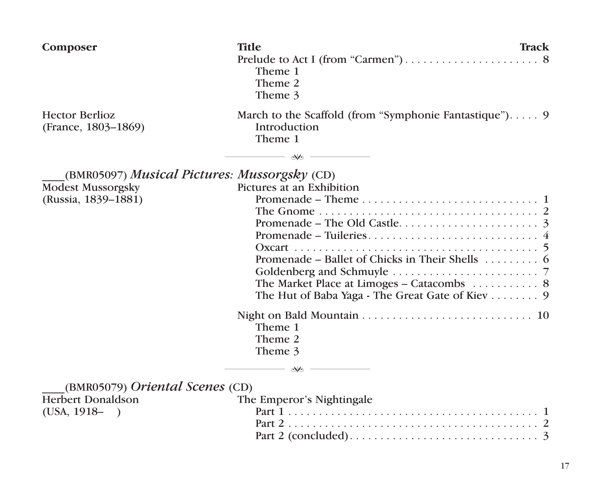| Composer                                            | <b>Title</b><br>Track<br>Theme 1<br>Theme 2<br>Theme 3                                                                                                                                                                                                                                                                                            |
|-----------------------------------------------------|---------------------------------------------------------------------------------------------------------------------------------------------------------------------------------------------------------------------------------------------------------------------------------------------------------------------------------------------------|
| <b>Hector Berlioz</b><br>(France, 1803–1869)        | March to the Scaffold (from "Symphonie Fantastique") 9<br>Introduction<br>Theme 1<br>$\infty-$                                                                                                                                                                                                                                                    |
| (BMR05097) <i>Musical Pictures: Mussorgsky</i> (CD) |                                                                                                                                                                                                                                                                                                                                                   |
| <b>Modest Mussorgsky</b><br>(Russia, 1839-1881)     | Pictures at an Exhibition<br>Promenade – Theme $\ldots, \ldots, \ldots, \ldots, \ldots, \ldots, 1$<br>Promenade – Ballet of Chicks in Their Shells $\dots \dots$ 6<br>Goldenberg and Schmuyle $\ldots \ldots \ldots \ldots \ldots \ldots \ldots$<br>The Market Place at Limoges - Catacombs  8<br>The Hut of Baba Yaga - The Great Gate of Kiev 9 |
|                                                     | Theme 1<br>Theme 2<br>Theme 3<br>$\longrightarrow$ $\infty$                                                                                                                                                                                                                                                                                       |
| $(BMR05079)$ <i>Oriental Scenes</i> $(CD)$          |                                                                                                                                                                                                                                                                                                                                                   |
| <b>Herbert Donaldson</b><br>$(USA, 1918 - )$        | The Emperor's Nightingale                                                                                                                                                                                                                                                                                                                         |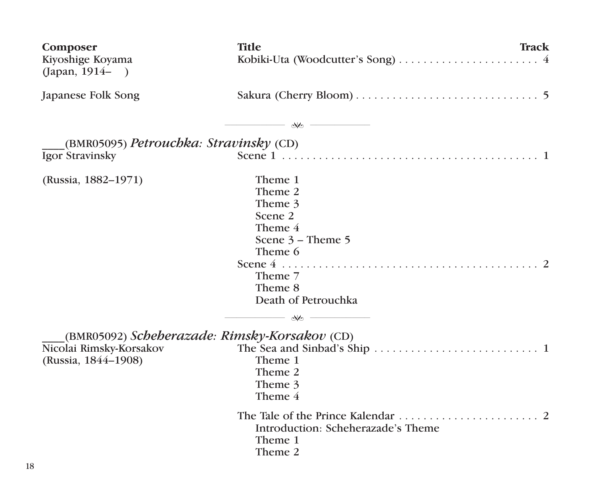| Composer<br>Kiyoshige Koyama<br>(Japan, $1914 -$ ) | Title<br>Track                                                                                                                       |  |
|----------------------------------------------------|--------------------------------------------------------------------------------------------------------------------------------------|--|
| Japanese Folk Song                                 |                                                                                                                                      |  |
|                                                    | $\longrightarrow$ $\infty$                                                                                                           |  |
| $(BMR05095)$ Petrouchka: Stravinsky $(CD)$         |                                                                                                                                      |  |
| Igor Stravinsky                                    |                                                                                                                                      |  |
| (Russia, 1882–1971)                                | Theme 1<br>Theme 2<br>Theme 3<br>Scene 2<br>Theme 4<br>Scene $3 -$ Theme $5$<br>Theme 6<br>Theme 7<br>Theme 8<br>Death of Petrouchka |  |
|                                                    | $\infty$ - $\sim$                                                                                                                    |  |
| (BMR05092) Scheherazade: Rimsky-Korsakov (CD)      |                                                                                                                                      |  |
| Nicolai Rimsky-Korsakov<br>(Russia, 1844–1908)     | Theme 1<br>Theme 2<br>Theme 3<br>Theme 4                                                                                             |  |
|                                                    | Introduction: Scheherazade's Theme<br>Theme 1<br>Theme 2                                                                             |  |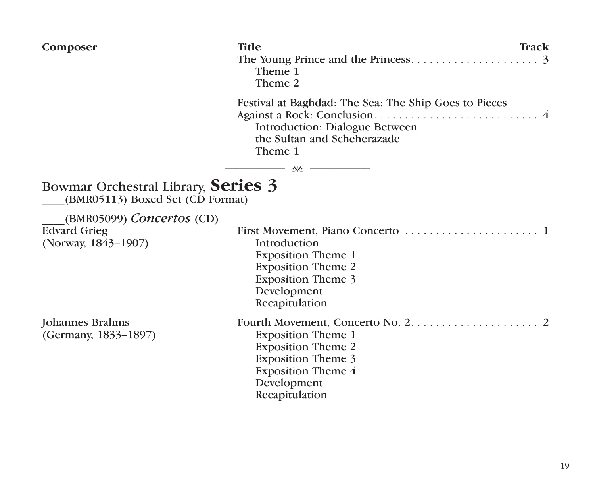| Composer                                                                           | <b>Title</b><br>Track<br>Theme 1<br>Theme 2                                                                                                       |  |
|------------------------------------------------------------------------------------|---------------------------------------------------------------------------------------------------------------------------------------------------|--|
|                                                                                    | Festival at Baghdad: The Sea: The Ship Goes to Pieces<br>Introduction: Dialogue Between<br>the Sultan and Scheherazade<br>Theme 1                 |  |
| Bowmar Orchestral Library, Series 3                                                | $\longrightarrow$ we $\longrightarrow$                                                                                                            |  |
| (BMR05113) Boxed Set (CD Format)                                                   |                                                                                                                                                   |  |
| $(BMR05099)$ <i>Concertos</i> $(CD)$<br><b>Edvard Grieg</b><br>(Norway, 1843-1907) | Introduction<br><b>Exposition Theme 1</b><br><b>Exposition Theme 2</b><br><b>Exposition Theme 3</b><br>Development<br>Recapitulation              |  |
| Johannes Brahms<br>(Germany, 1833-1897)                                            | <b>Exposition Theme 1</b><br><b>Exposition Theme 2</b><br><b>Exposition Theme 3</b><br><b>Exposition Theme 4</b><br>Development<br>Recapitulation |  |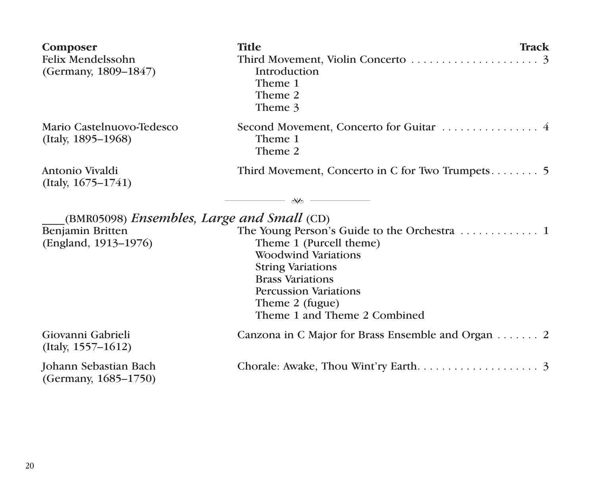| Composer<br>Felix Mendelssohn<br>(Germany, 1809–1847) | Title<br>Track<br>Third Movement, Violin Concerto $\dots \dots \dots \dots \dots \dots$<br>Introduction<br>Theme 1<br>Theme 2<br>Theme 3                                                        |
|-------------------------------------------------------|-------------------------------------------------------------------------------------------------------------------------------------------------------------------------------------------------|
| Mario Castelnuovo-Tedesco<br>(Italy, 1895–1968)       | Theme 1<br>Theme 2                                                                                                                                                                              |
| Antonio Vivaldi<br>(Italy, $1675 - 1741$ )            |                                                                                                                                                                                                 |
|                                                       | $\infty$ - $\sim$                                                                                                                                                                               |
| (BMR05098) <i>Ensembles, Large and Small</i> (CD)     |                                                                                                                                                                                                 |
| Benjamin Britten<br>(England, 1913–1976)              | Theme 1 (Purcell theme)<br><b>Woodwind Variations</b><br><b>String Variations</b><br><b>Brass Variations</b><br><b>Percussion Variations</b><br>Theme 2 (fugue)<br>Theme 1 and Theme 2 Combined |
| Giovanni Gabrieli<br>(Itally, 1557–1612)              | Canzona in C Major for Brass Ensemble and Organ $\dots \dots 2$                                                                                                                                 |
| Johann Sebastian Bach<br>(Germany, 1685–1750)         |                                                                                                                                                                                                 |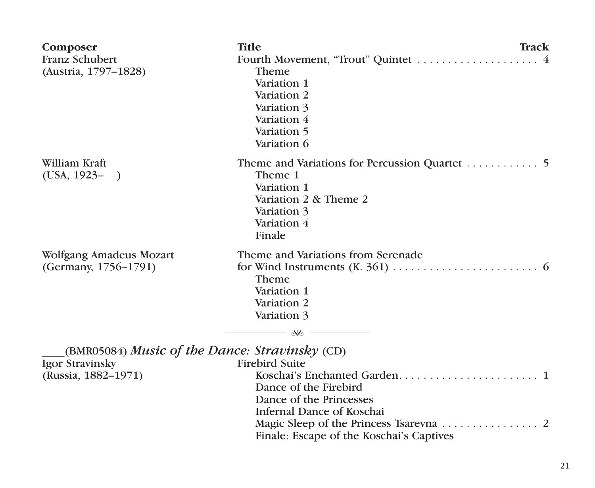| Composer<br>Franz Schubert<br>(Austria, 1797-1828)                                       | <b>Title</b><br>Track<br>Theme<br>Variation 1<br>Variation 2<br>Variation 3<br>Variation 4<br>Variation 5<br>Variation 6                           |
|------------------------------------------------------------------------------------------|----------------------------------------------------------------------------------------------------------------------------------------------------|
| William Kraft<br>$(USA, 1923 - )$                                                        | Theme 1<br>Variation 1<br>Variation 2 & Theme 2<br>Variation 3<br>Variation 4<br>Finale                                                            |
| Wolfgang Amadeus Mozart<br>(Germany, 1756-1791)                                          | Theme and Variations from Serenade<br>Theme<br>Variation 1<br>Variation 2<br>Variation 3<br>No.                                                    |
| (BMR05084) Music of the Dance: Stravinsky (CD)<br>Igor Stravinsky<br>(Russia, 1882–1971) | <b>Firebird Suite</b><br>Dance of the Firebird<br>Dance of the Princesses<br>Infernal Dance of Koschai<br>Finale: Escape of the Koschai's Captives |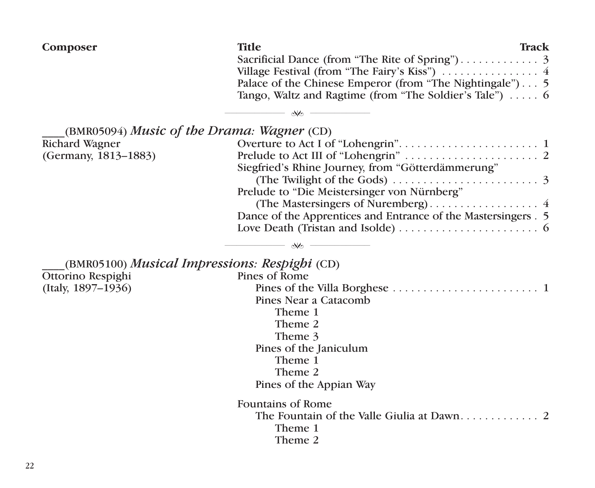| Composer                                      | <b>Title</b><br>Track<br>Palace of the Chinese Emperor (from "The Nightingale") 5<br>Tango, Waltz and Ragtime (from "The Soldier's Tale") $\dots$ 6<br>$\mathcal{R}$ |
|-----------------------------------------------|----------------------------------------------------------------------------------------------------------------------------------------------------------------------|
|                                               |                                                                                                                                                                      |
| (BMR05094) Music of the Drama: Wagner (CD)    |                                                                                                                                                                      |
| Richard Wagner                                |                                                                                                                                                                      |
| (Germany, 1813-1883)                          | Siegfried's Rhine Journey, from "Götterdämmerung"                                                                                                                    |
|                                               | (The Twilight of the Gods) $\ldots \ldots \ldots \ldots \ldots \ldots$                                                                                               |
|                                               | Prelude to "Die Meistersinger von Nürnberg"                                                                                                                          |
|                                               |                                                                                                                                                                      |
|                                               | Dance of the Apprentices and Entrance of the Mastersingers . 5                                                                                                       |
|                                               | Love Death (Tristan and Isolde) $\dots \dots \dots \dots \dots \dots \dots$                                                                                          |
|                                               | $\mathsf{w}$                                                                                                                                                         |
| (BMR05100) Musical Impressions: Respighi (CD) |                                                                                                                                                                      |
| Ottorino Respighi                             | Pines of Rome                                                                                                                                                        |
| (Italy, 1897-1936)                            |                                                                                                                                                                      |
|                                               | Pines Near a Catacomb                                                                                                                                                |
|                                               | Theme 1                                                                                                                                                              |
|                                               | Theme 2                                                                                                                                                              |
|                                               | Theme 3                                                                                                                                                              |
|                                               | Pines of the Janiculum                                                                                                                                               |
|                                               | Theme 1                                                                                                                                                              |
|                                               | Theme 2                                                                                                                                                              |
|                                               | Pines of the Appian Way                                                                                                                                              |
|                                               | <b>Fountains of Rome</b>                                                                                                                                             |
|                                               |                                                                                                                                                                      |
|                                               | Theme 1                                                                                                                                                              |
|                                               | Theme 2                                                                                                                                                              |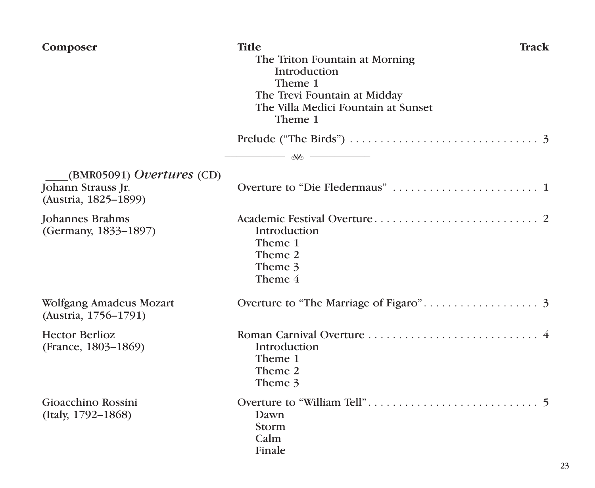| Composer                                                                         | <b>Title</b><br>The Triton Fountain at Morning<br>Introduction<br>Theme 1<br>The Trevi Fountain at Midday<br>The Villa Medici Fountain at Sunset<br>Theme 1 | Track |
|----------------------------------------------------------------------------------|-------------------------------------------------------------------------------------------------------------------------------------------------------------|-------|
|                                                                                  | Prelude ("The Birds") $\ldots \ldots \ldots \ldots \ldots \ldots \ldots \ldots \ldots$<br>$\longrightarrow$ we construct the set of $\sim$                  |       |
| $(BMR05091)$ <i>Overtures</i> (CD)<br>Johann Strauss Jr.<br>(Austria, 1825-1899) |                                                                                                                                                             |       |
| Johannes Brahms<br>(Germany, 1833-1897)                                          | Introduction<br>Theme 1<br>Theme 2<br>Theme 3<br>Theme 4                                                                                                    |       |
| Wolfgang Amadeus Mozart<br>(Austria, 1756-1791)                                  |                                                                                                                                                             |       |
| <b>Hector Berlioz</b><br>(France, 1803-1869)                                     | Introduction<br>Theme 1<br>Theme 2<br>Theme 3                                                                                                               |       |
| Gioacchino Rossini<br>(Italy, 1792–1868)                                         | Dawn<br>Storm<br>Calm<br>Finale                                                                                                                             |       |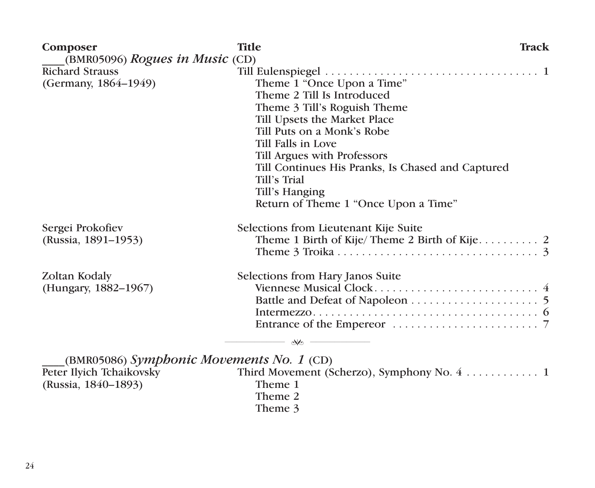| Composer<br>$(BMR05096)$ Rogues in Music $(CD)$ | <b>Title</b><br>Track                             |  |
|-------------------------------------------------|---------------------------------------------------|--|
| <b>Richard Strauss</b>                          |                                                   |  |
| (Germany, 1864–1949)                            | Theme 1 "Once Upon a Time"                        |  |
|                                                 | Theme 2 Till Is Introduced                        |  |
|                                                 | Theme 3 Till's Roguish Theme                      |  |
|                                                 | Till Upsets the Market Place                      |  |
|                                                 | Till Puts on a Monk's Robe                        |  |
|                                                 | Till Falls in Love                                |  |
|                                                 | Till Argues with Professors                       |  |
|                                                 | Till Continues His Pranks, Is Chased and Captured |  |
|                                                 | Till's Trial                                      |  |
|                                                 | Till's Hanging                                    |  |
|                                                 | Return of Theme 1 "Once Upon a Time"              |  |
| Sergei Prokofiev                                | Selections from Lieutenant Kije Suite             |  |
| (Russia, 1891–1953)                             |                                                   |  |
|                                                 |                                                   |  |
| Zoltan Kodaly                                   | Selections from Hary Janos Suite                  |  |
| (Hungary, 1882–1967)                            |                                                   |  |
|                                                 |                                                   |  |
|                                                 |                                                   |  |
|                                                 |                                                   |  |
|                                                 | $\aleph$                                          |  |
| (BMR05086) Symphonic Movements No. 1 (CD)       |                                                   |  |
| Peter Ilyich Tchaikovsky                        | Third Movement (Scherzo), Symphony No. 4 1        |  |
| (Russia, 1840–1893)                             | Theme 1                                           |  |
|                                                 | Theme 2                                           |  |

Theme 3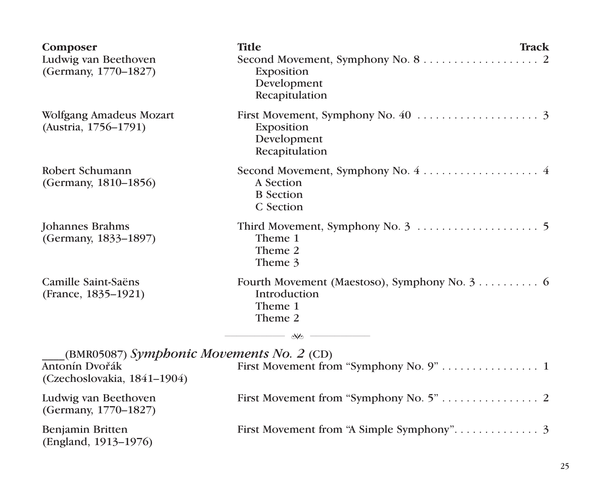| Composer<br>Ludwig van Beethoven<br>(Germany, 1770-1827)                                   | <b>Title</b><br>Exposition<br>Development<br>Recapitulation | <b>Track</b> |
|--------------------------------------------------------------------------------------------|-------------------------------------------------------------|--------------|
| Wolfgang Amadeus Mozart<br>(Austria, 1756–1791)                                            | Exposition<br>Development<br>Recapitulation                 |              |
| Robert Schumann<br>(Germany, 1810-1856)                                                    | A Section<br><b>B</b> Section<br>C Section                  |              |
| Johannes Brahms<br>(Germany, 1833-1897)                                                    | Theme 1<br>Theme 2<br>Theme 3                               |              |
| Camille Saint-Saëns<br>(France, 1835-1921)                                                 | Introduction<br>Theme 1<br>Theme 2<br>$\sim$                |              |
| (BMR05087) Symphonic Movements No. 2 (CD)<br>Antonín Dvořák<br>(Czechoslovakia, 1841–1904) |                                                             |              |
| Ludwig van Beethoven<br>(Germany, 1770-1827)                                               |                                                             |              |
| Benjamin Britten<br>(England, 1913–1976)                                                   |                                                             |              |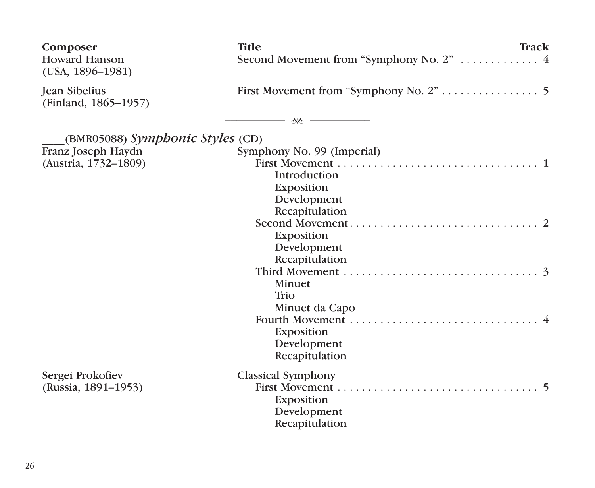| Composer<br><b>Howard Hanson</b><br>$(USA, 1896-1981)$ | <b>Title</b><br>Track<br>Second Movement from "Symphony No. 2"  4 |
|--------------------------------------------------------|-------------------------------------------------------------------|
| <b>Jean Sibelius</b><br>(Finland, 1865-1957)           |                                                                   |
|                                                        | $\sim$                                                            |
| (BMR05088) Symphonic Styles (CD)                       |                                                                   |
| Franz Joseph Haydn                                     | Symphony No. 99 (Imperial)                                        |
| (Austria, 1732-1809)                                   |                                                                   |
|                                                        | Introduction                                                      |
|                                                        | Exposition                                                        |
|                                                        | Development                                                       |
|                                                        | Recapitulation                                                    |
|                                                        |                                                                   |
|                                                        | Exposition                                                        |
|                                                        | Development                                                       |
|                                                        | Recapitulation                                                    |
|                                                        |                                                                   |
|                                                        | Minuet                                                            |
|                                                        | Trio                                                              |
|                                                        | Minuet da Capo                                                    |
|                                                        |                                                                   |
|                                                        | Exposition                                                        |
|                                                        | Development                                                       |
|                                                        | Recapitulation                                                    |
| Sergei Prokofiev                                       | <b>Classical Symphony</b>                                         |
| (Russia, 1891-1953)                                    |                                                                   |
|                                                        | Exposition                                                        |
|                                                        | Development                                                       |
|                                                        | Recapitulation                                                    |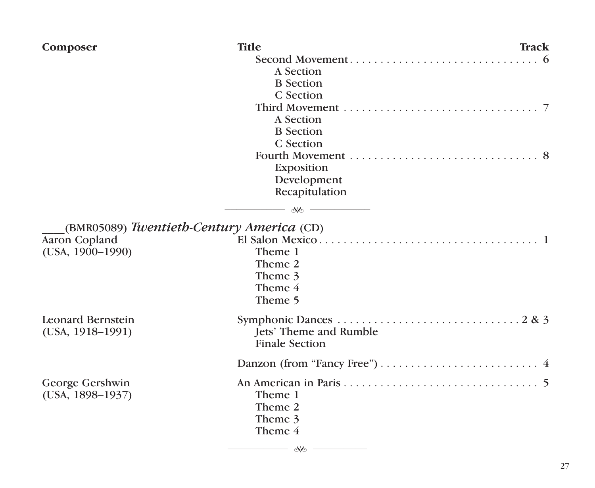| Composer                              | <b>Title</b>                                    | Track |
|---------------------------------------|-------------------------------------------------|-------|
|                                       |                                                 |       |
|                                       | A Section                                       |       |
|                                       | <b>B</b> Section                                |       |
|                                       | C Section                                       |       |
|                                       |                                                 |       |
|                                       | A Section                                       |       |
|                                       | <b>B</b> Section                                |       |
|                                       | C. Section                                      |       |
|                                       |                                                 |       |
|                                       | Exposition                                      |       |
|                                       | Development                                     |       |
|                                       | Recapitulation                                  |       |
|                                       | $ \infty$ $-$                                   |       |
|                                       | (BMR05089) Twentieth-Century America (CD)       |       |
| Aaron Copland                         |                                                 |       |
| $(USA, 1900-1990)$                    | Theme 1                                         |       |
|                                       | Theme 2                                         |       |
|                                       | Theme 3                                         |       |
|                                       | Theme 4                                         |       |
|                                       | Theme 5                                         |       |
| Leonard Bernstein<br>(USA, 1918–1991) | Jets' Theme and Rumble<br><b>Finale Section</b> |       |
|                                       |                                                 |       |
| George Gershwin                       |                                                 |       |
| $(USA, 1898-1937)$                    | Theme 1                                         |       |
|                                       | Theme 2                                         |       |
|                                       | Theme 3                                         |       |
|                                       | Theme 4                                         |       |
|                                       | - who -                                         |       |